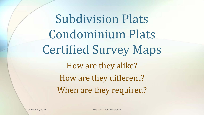## Subdivision Plats Condominium Plats Certified Survey Maps How are they alike? How are they different? When are they required?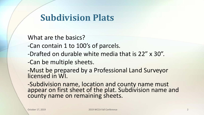#### **Subdivision Plats**

What are the basics?

- -Can contain 1 to 100's of parcels.
- -Drafted on durable white media that is 22" x 30".

-Can be multiple sheets.

-Must be prepared by a Professional Land Surveyor licensed in WI.

-Subdivision name, location and county name must appear on first sheet of the plat. Subdivision name and county name on remaining sheets.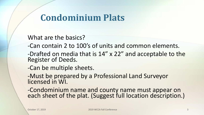#### **Condominium Plats**

What are the basics?

- -Can contain 2 to 100's of units and common elements.
- -Drafted on media that is 14" x 22" and acceptable to the Register of Deeds.
- -Can be multiple sheets.

-Must be prepared by a Professional Land Surveyor licensed in WI.

-Condominium name and county name must appear on each sheet of the plat. (Suggest full location description.)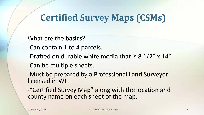## **Certified Survey Maps (CSMs)**

What are the basics?

- -Can contain 1 to 4 parcels.
- -Drafted on durable white media that is 8 1/2" x 14".
- -Can be multiple sheets.

-Must be prepared by a Professional Land Surveyor licensed in WI.

-"Certified Survey Map" along with the location and county name on each sheet of the map.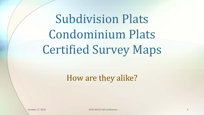## Subdivision Plats Condominium Plats Certified Survey Maps

#### How are they alike?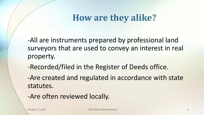## **How are they alike?**

-All are instruments prepared by professional land surveyors that are used to convey an interest in real property.

-Recorded/filed in the Register of Deeds office.

-Are created and regulated in accordance with state statutes.

-Are often reviewed locally.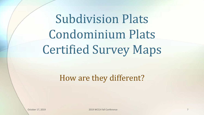## Subdivision Plats Condominium Plats Certified Survey Maps

#### How are they different?

October 17, 2019 2019 WCCA Fall Conference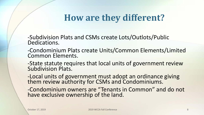## **How are they different?**

-Subdivision Plats and CSMs create Lots/Outlots/Public Dedications.

-Condominium Plats create Units/Common Elements/Limited Common Elements.

-State statute requires that local units of government review Subdivision Plats.

-Local units of government must adopt an ordinance giving them review authority for CSMs and Condominiums.

-Condominium owners are "Tenants in Common" and do not have exclusive ownership of the land.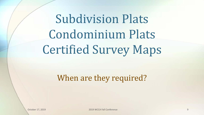## Subdivision Plats Condominium Plats Certified Survey Maps

#### When are they required?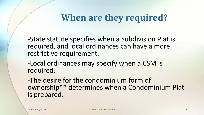### **When are they required?**

-State statute specifies when a Subdivision Plat is required, and local ordinances can have a more restrictive requirement.

-Local ordinances may specify when a CSM is required.

-The desire for the condominium form of ownership\*\* determines when a Condominium Plat is prepared.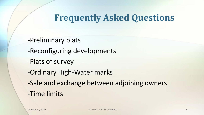### **Frequently Asked Questions**

-Preliminary plats

- -Reconfiguring developments
- -Plats of survey
- -Ordinary High-Water marks
- -Sale and exchange between adjoining owners
- -Time limits